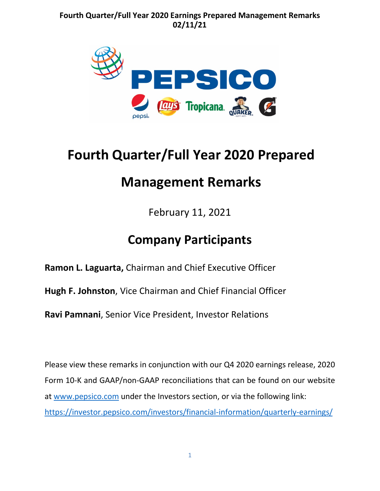

# **Fourth Quarter/Full Year 2020 Prepared**

## **Management Remarks**

February 11, 2021

## **Company Participants**

**[Ramon L. Laguarta,](https://blinks.bloomberg.com/screens/BIO%2018967774)** Chairman and Chief Executive Officer

**[Hugh F. Johnston](https://blinks.bloomberg.com/screens/BIO%2015089105)**, Vice Chairman and Chief Financial Officer

**[Ravi Pamnani](https://blinks.bloomberg.com/screens/BIO%206230658)**, Senior Vice President, Investor Relations

Please view these remarks in conjunction with our Q4 2020 earnings release, 2020 Form 10-K and GAAP/non-GAAP reconciliations that can be found on our website at [www.pepsico.com](http://www.pepsico.com/) under the Investors section, or via the following link: <https://investor.pepsico.com/investors/financial-information/quarterly-earnings/>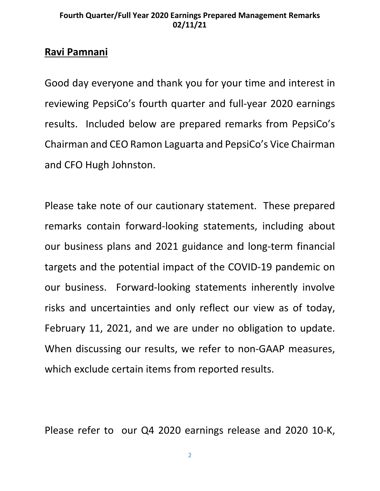## **Ravi Pamnani**

Good day everyone and thank you for your time and interest in reviewing PepsiCo's fourth quarter and full-year 2020 earnings results. Included below are prepared remarks from PepsiCo's Chairman and CEO Ramon Laguarta and PepsiCo's Vice Chairman and CFO Hugh Johnston.

Please take note of our cautionary statement. These prepared remarks contain forward-looking statements, including about our business plans and 2021 guidance and long-term financial targets and the potential impact of the COVID-19 pandemic on our business. Forward-looking statements inherently involve risks and uncertainties and only reflect our view as of today, February 11, 2021, and we are under no obligation to update. When discussing our results, we refer to non-GAAP measures, which exclude certain items from reported results.

Please refer to our Q4 2020 earnings release and 2020 10-K,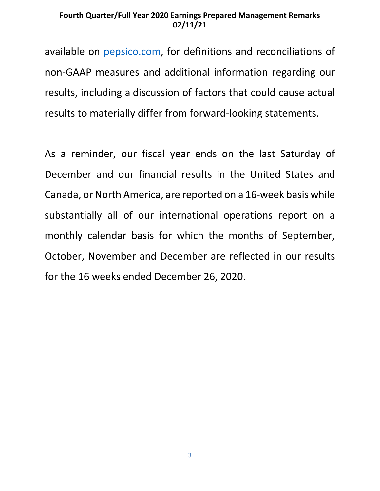available on [pepsico.com,](http://pepsico.com/) for definitions and reconciliations of non-GAAP measures and additional information regarding our results, including a discussion of factors that could cause actual results to materially differ from forward-looking statements.

As a reminder, our fiscal year ends on the last Saturday of December and our financial results in the United States and Canada, or North America, are reported on a 16-week basis while substantially all of our international operations report on a monthly calendar basis for which the months of September, October, November and December are reflected in our results for the 16 weeks ended December 26, 2020.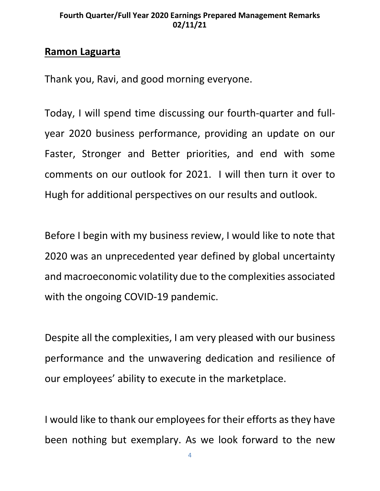### **Ramon Laguarta**

Thank you, Ravi, and good morning everyone.

Today, I will spend time discussing our fourth-quarter and fullyear 2020 business performance, providing an update on our Faster, Stronger and Better priorities, and end with some comments on our outlook for 2021. I will then turn it over to Hugh for additional perspectives on our results and outlook.

Before I begin with my business review, I would like to note that 2020 was an unprecedented year defined by global uncertainty and macroeconomic volatility due to the complexities associated with the ongoing COVID-19 pandemic.

Despite all the complexities, I am very pleased with our business performance and the unwavering dedication and resilience of our employees' ability to execute in the marketplace.

I would like to thank our employees for their efforts as they have been nothing but exemplary. As we look forward to the new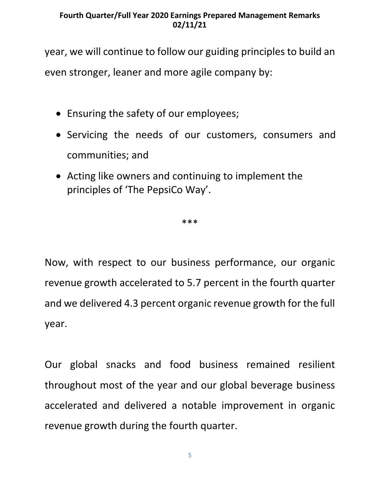year, we will continue to follow our guiding principles to build an even stronger, leaner and more agile company by:

- Ensuring the safety of our employees;
- Servicing the needs of our customers, consumers and communities; and
- Acting like owners and continuing to implement the principles of 'The PepsiCo Way'.

\*\*\*

Now, with respect to our business performance, our organic revenue growth accelerated to 5.7 percent in the fourth quarter and we delivered 4.3 percent organic revenue growth for the full year.

Our global snacks and food business remained resilient throughout most of the year and our global beverage business accelerated and delivered a notable improvement in organic revenue growth during the fourth quarter.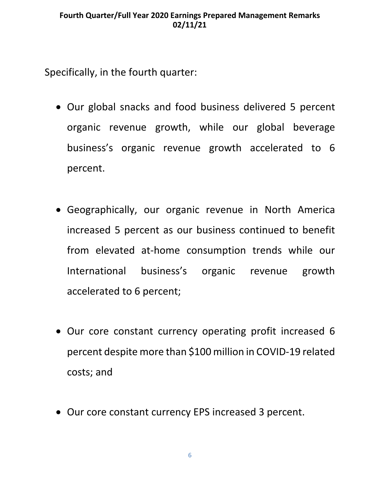Specifically, in the fourth quarter:

- Our global snacks and food business delivered 5 percent organic revenue growth, while our global beverage business's organic revenue growth accelerated to 6 percent.
- Geographically, our organic revenue in North America increased 5 percent as our business continued to benefit from elevated at-home consumption trends while our International business's organic revenue growth accelerated to 6 percent;
- Our core constant currency operating profit increased 6 percent despite more than \$100 million in COVID-19 related costs; and
- Our core constant currency EPS increased 3 percent.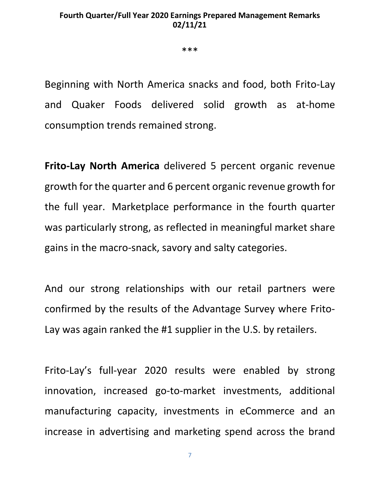\*\*\*

Beginning with North America snacks and food, both Frito-Lay and Quaker Foods delivered solid growth as at-home consumption trends remained strong.

**Frito-Lay North America** delivered 5 percent organic revenue growth for the quarter and 6 percent organic revenue growth for the full year. Marketplace performance in the fourth quarter was particularly strong, as reflected in meaningful market share gains in the macro-snack, savory and salty categories.

And our strong relationships with our retail partners were confirmed by the results of the Advantage Survey where Frito-Lay was again ranked the #1 supplier in the U.S. by retailers.

Frito-Lay's full-year 2020 results were enabled by strong innovation, increased go-to-market investments, additional manufacturing capacity, investments in eCommerce and an increase in advertising and marketing spend across the brand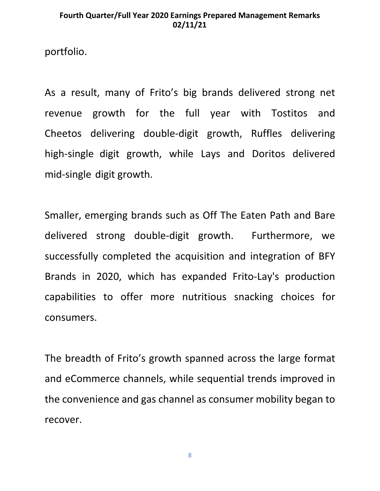portfolio.

As a result, many of Frito's big brands delivered strong net revenue growth for the full year with Tostitos and Cheetos delivering double-digit growth, Ruffles delivering high-single digit growth, while Lays and Doritos delivered mid-single digit growth.

Smaller, emerging brands such as Off The Eaten Path and Bare delivered strong double-digit growth. Furthermore, we successfully completed the acquisition and integration of BFY Brands in 2020, which has expanded Frito-Lay's production capabilities to offer more nutritious snacking choices for consumers.

The breadth of Frito's growth spanned across the large format and eCommerce channels, while sequential trends improved in the convenience and gas channel as consumer mobility began to recover.

8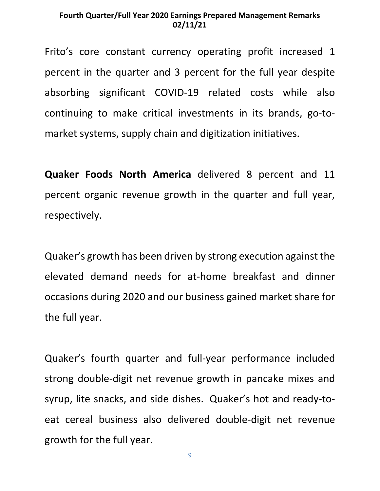Frito's core constant currency operating profit increased 1 percent in the quarter and 3 percent for the full year despite absorbing significant COVID-19 related costs while also continuing to make critical investments in its brands, go-tomarket systems, supply chain and digitization initiatives.

**Quaker Foods North America** delivered 8 percent and 11 percent organic revenue growth in the quarter and full year, respectively.

Quaker's growth has been driven by strong execution against the elevated demand needs for at-home breakfast and dinner occasions during 2020 and our business gained market share for the full year.

Quaker's fourth quarter and full-year performance included strong double-digit net revenue growth in pancake mixes and syrup, lite snacks, and side dishes. Quaker's hot and ready-toeat cereal business also delivered double-digit net revenue growth for the full year.

9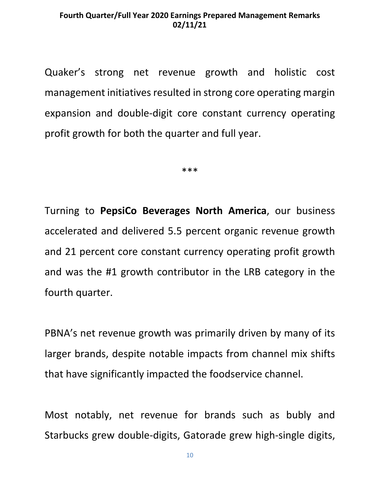Quaker's strong net revenue growth and holistic cost management initiatives resulted in strong core operating margin expansion and double-digit core constant currency operating profit growth for both the quarter and full year.

\*\*\*

Turning to **PepsiCo Beverages North America**, our business accelerated and delivered 5.5 percent organic revenue growth and 21 percent core constant currency operating profit growth and was the #1 growth contributor in the LRB category in the fourth quarter.

PBNA's net revenue growth was primarily driven by many of its larger brands, despite notable impacts from channel mix shifts that have significantly impacted the foodservice channel.

Most notably, net revenue for brands such as bubly and Starbucks grew double-digits, Gatorade grew high-single digits,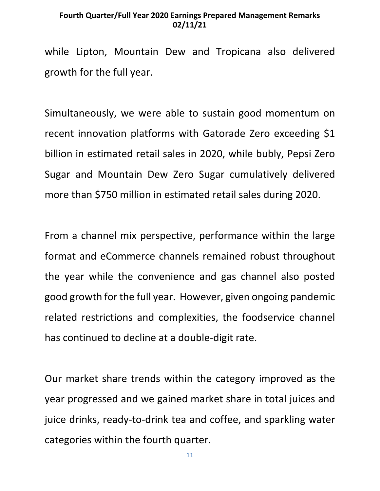while Lipton, Mountain Dew and Tropicana also delivered growth for the full year.

Simultaneously, we were able to sustain good momentum on recent innovation platforms with Gatorade Zero exceeding \$1 billion in estimated retail sales in 2020, while bubly, Pepsi Zero Sugar and Mountain Dew Zero Sugar cumulatively delivered more than \$750 million in estimated retail sales during 2020.

From a channel mix perspective, performance within the large format and eCommerce channels remained robust throughout the year while the convenience and gas channel also posted good growth for the full year. However, given ongoing pandemic related restrictions and complexities, the foodservice channel has continued to decline at a double-digit rate.

Our market share trends within the category improved as the year progressed and we gained market share in total juices and juice drinks, ready-to-drink tea and coffee, and sparkling water categories within the fourth quarter.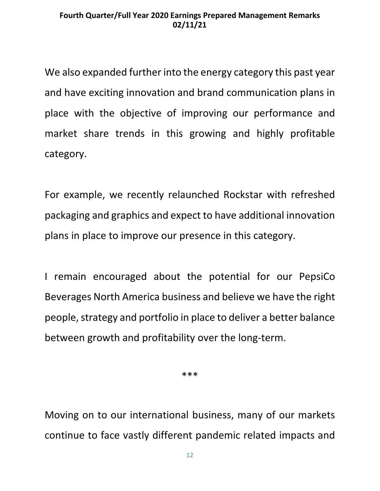We also expanded further into the energy category this past year and have exciting innovation and brand communication plans in place with the objective of improving our performance and market share trends in this growing and highly profitable category.

For example, we recently relaunched Rockstar with refreshed packaging and graphics and expect to have additional innovation plans in place to improve our presence in this category.

I remain encouraged about the potential for our PepsiCo Beverages North America business and believe we have the right people, strategy and portfolio in place to deliver a better balance between growth and profitability over the long-term.

\*\*\*

Moving on to our international business, many of our markets continue to face vastly different pandemic related impacts and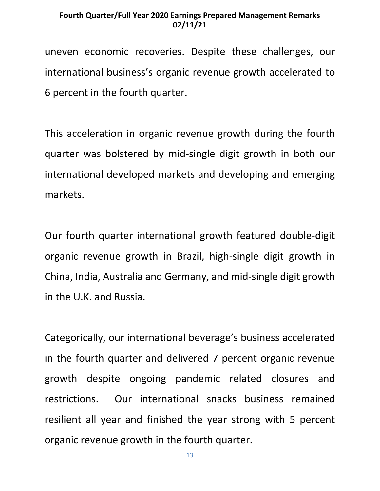uneven economic recoveries. Despite these challenges, our international business's organic revenue growth accelerated to 6 percent in the fourth quarter.

This acceleration in organic revenue growth during the fourth quarter was bolstered by mid-single digit growth in both our international developed markets and developing and emerging markets.

Our fourth quarter international growth featured double-digit organic revenue growth in Brazil, high-single digit growth in China, India, Australia and Germany, and mid-single digit growth in the U.K. and Russia.

Categorically, our international beverage's business accelerated in the fourth quarter and delivered 7 percent organic revenue growth despite ongoing pandemic related closures and restrictions. Our international snacks business remained resilient all year and finished the year strong with 5 percent organic revenue growth in the fourth quarter.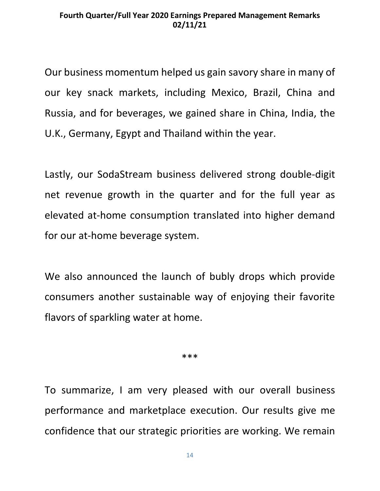Our business momentum helped us gain savory share in many of our key snack markets, including Mexico, Brazil, China and Russia, and for beverages, we gained share in China, India, the U.K., Germany, Egypt and Thailand within the year.

Lastly, our SodaStream business delivered strong double-digit net revenue growth in the quarter and for the full year as elevated at-home consumption translated into higher demand for our at-home beverage system.

We also announced the launch of bubly drops which provide consumers another sustainable way of enjoying their favorite flavors of sparkling water at home.

\*\*\*

To summarize, I am very pleased with our overall business performance and marketplace execution. Our results give me confidence that our strategic priorities are working. We remain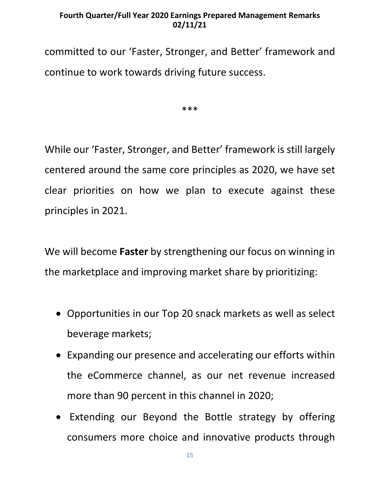committed to our 'Faster, Stronger, and Better' framework and continue to work towards driving future success.

\*\*\*

While our 'Faster, Stronger, and Better' framework is still largely centered around the same core principles as 2020, we have set clear priorities on how we plan to execute against these principles in 2021.

We will become **Faster** by strengthening our focus on winning in the marketplace and improving market share by prioritizing:

- Opportunities in our Top 20 snack markets as well as select beverage markets;
- Expanding our presence and accelerating our efforts within the eCommerce channel, as our net revenue increased more than 90 percent in this channel in 2020;
- Extending our Beyond the Bottle strategy by offering consumers more choice and innovative products through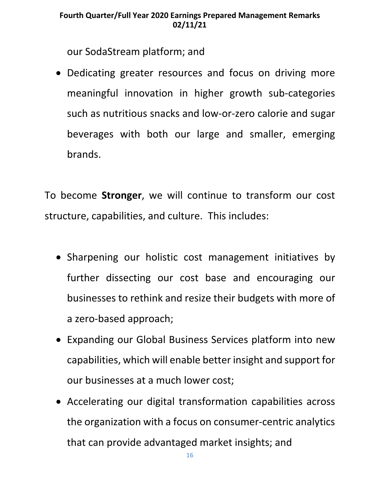our SodaStream platform; and

• Dedicating greater resources and focus on driving more meaningful innovation in higher growth sub-categories such as nutritious snacks and low-or-zero calorie and sugar beverages with both our large and smaller, emerging brands.

To become **Stronger**, we will continue to transform our cost structure, capabilities, and culture. This includes:

- Sharpening our holistic cost management initiatives by further dissecting our cost base and encouraging our businesses to rethink and resize their budgets with more of a zero-based approach;
- Expanding our Global Business Services platform into new capabilities, which will enable better insight and support for our businesses at a much lower cost;
- Accelerating our digital transformation capabilities across the organization with a focus on consumer-centric analytics that can provide advantaged market insights; and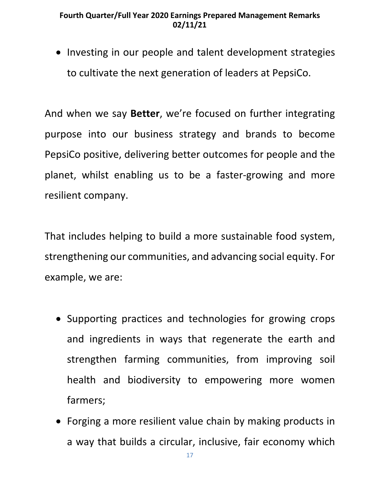• Investing in our people and talent development strategies to cultivate the next generation of leaders at PepsiCo.

And when we say **Better**, we're focused on further integrating purpose into our business strategy and brands to become PepsiCo positive, delivering better outcomes for people and the planet, whilst enabling us to be a faster-growing and more resilient company.

That includes helping to build a more sustainable food system, strengthening our communities, and advancing social equity. For example, we are:

- Supporting practices and technologies for growing crops and ingredients in ways that regenerate the earth and strengthen farming communities, from improving soil health and biodiversity to empowering more women farmers;
- Forging a more resilient value chain by making products in a way that builds a circular, inclusive, fair economy which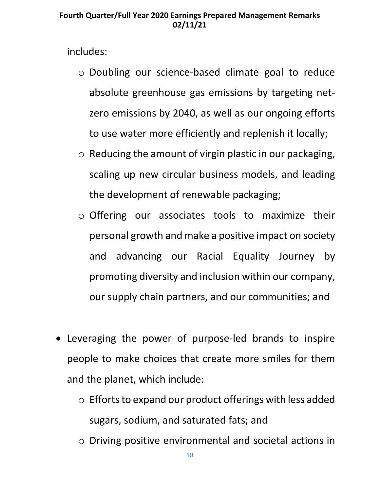includes:

- o Doubling our science-based climate goal to reduce absolute greenhouse gas emissions by targeting netzero emissions by 2040, as well as our ongoing efforts to use water more efficiently and replenish it locally;
- $\circ$  Reducing the amount of virgin plastic in our packaging, scaling up new circular business models, and leading the development of renewable packaging;
- o Offering our associates tools to maximize their personal growth and make a positive impact on society and advancing our Racial Equality Journey by promoting diversity and inclusion within our company, our supply chain partners, and our communities; and
- Leveraging the power of purpose-led brands to inspire people to make choices that create more smiles for them and the planet, which include:
	- o Efforts to expand our product offerings with less added sugars, sodium, and saturated fats; and
	- o Driving positive environmental and societal actions in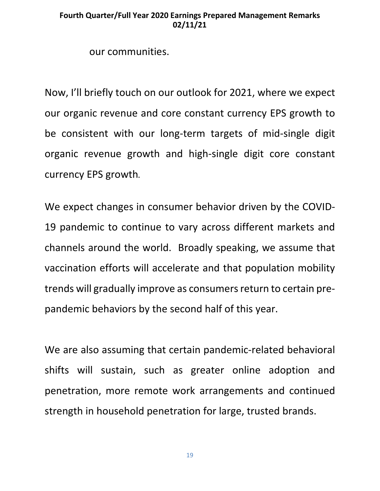our communities.

Now, I'll briefly touch on our outlook for 2021, where we expect our organic revenue and core constant currency EPS growth to be consistent with our long-term targets of mid-single digit organic revenue growth and high-single digit core constant currency EPS growth**.**

We expect changes in consumer behavior driven by the COVID-19 pandemic to continue to vary across different markets and channels around the world. Broadly speaking, we assume that vaccination efforts will accelerate and that population mobility trends will gradually improve as consumers return to certain prepandemic behaviors by the second half of this year.

We are also assuming that certain pandemic-related behavioral shifts will sustain, such as greater online adoption and penetration, more remote work arrangements and continued strength in household penetration for large, trusted brands.

19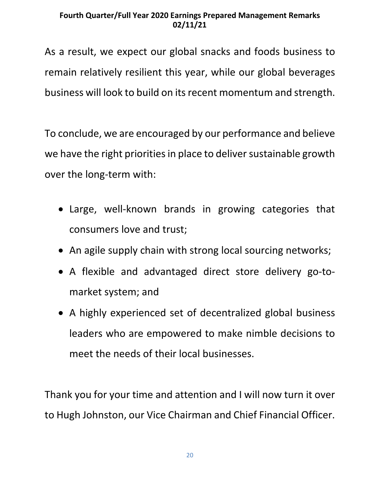As a result, we expect our global snacks and foods business to remain relatively resilient this year, while our global beverages business will look to build on its recent momentum and strength.

To conclude, we are encouraged by our performance and believe we have the right priorities in place to deliver sustainable growth over the long-term with:

- Large, well-known brands in growing categories that consumers love and trust;
- An agile supply chain with strong local sourcing networks;
- A flexible and advantaged direct store delivery go-tomarket system; and
- A highly experienced set of decentralized global business leaders who are empowered to make nimble decisions to meet the needs of their local businesses.

Thank you for your time and attention and I will now turn it over to Hugh Johnston, our Vice Chairman and Chief Financial Officer.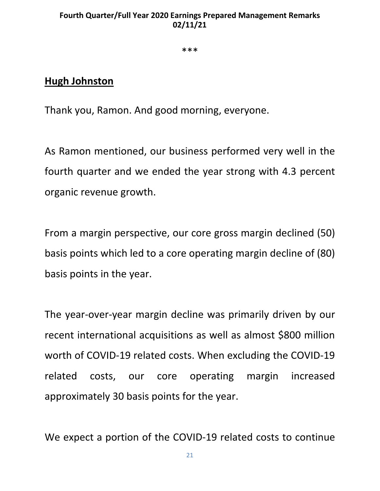\*\*\*

### **Hugh Johnston**

Thank you, Ramon. And good morning, everyone.

As Ramon mentioned, our business performed very well in the fourth quarter and we ended the year strong with 4.3 percent organic revenue growth.

From a margin perspective, our core gross margin declined (50) basis points which led to a core operating margin decline of (80) basis points in the year.

The year-over-year margin decline was primarily driven by our recent international acquisitions as well as almost \$800 million worth of COVID-19 related costs. When excluding the COVID-19 related costs, our core operating margin increased approximately 30 basis points for the year.

We expect a portion of the COVID-19 related costs to continue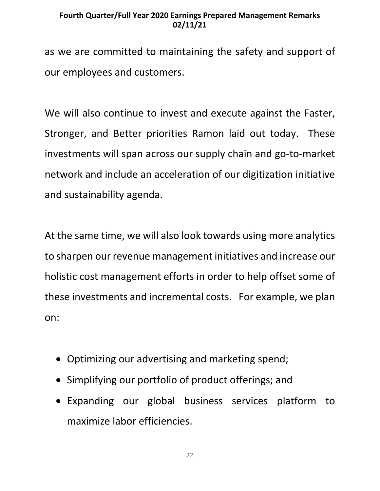as we are committed to maintaining the safety and support of our employees and customers.

We will also continue to invest and execute against the Faster, Stronger, and Better priorities Ramon laid out today. These investments will span across our supply chain and go-to-market network and include an acceleration of our digitization initiative and sustainability agenda.

At the same time, we will also look towards using more analytics to sharpen our revenue management initiatives and increase our holistic cost management efforts in order to help offset some of these investments and incremental costs. For example, we plan on:

- Optimizing our advertising and marketing spend;
- Simplifying our portfolio of product offerings; and
- Expanding our global business services platform to maximize labor efficiencies.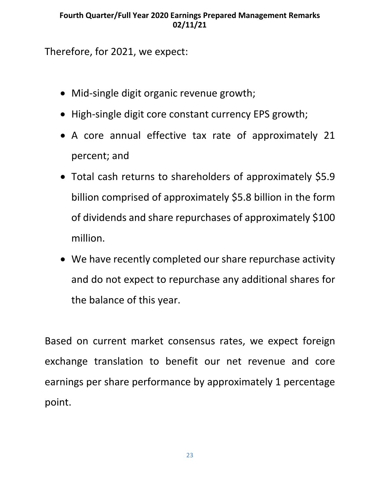Therefore, for 2021, we expect:

- Mid-single digit organic revenue growth;
- High-single digit core constant currency EPS growth;
- A core annual effective tax rate of approximately 21 percent; and
- Total cash returns to shareholders of approximately \$5.9 billion comprised of approximately \$5.8 billion in the form of dividends and share repurchases of approximately \$100 million.
- We have recently completed our share repurchase activity and do not expect to repurchase any additional shares for the balance of this year.

Based on current market consensus rates, we expect foreign exchange translation to benefit our net revenue and core earnings per share performance by approximately 1 percentage point.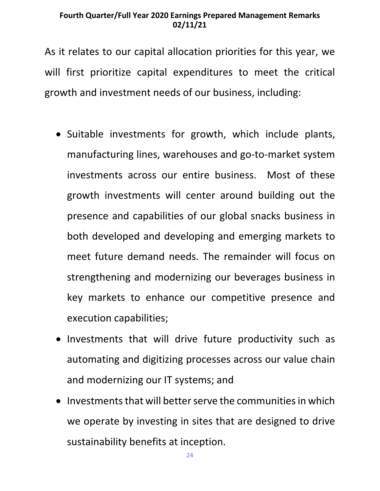As it relates to our capital allocation priorities for this year, we will first prioritize capital expenditures to meet the critical growth and investment needs of our business, including:

- Suitable investments for growth, which include plants, manufacturing lines, warehouses and go-to-market system investments across our entire business. Most of these growth investments will center around building out the presence and capabilities of our global snacks business in both developed and developing and emerging markets to meet future demand needs. The remainder will focus on strengthening and modernizing our beverages business in key markets to enhance our competitive presence and execution capabilities;
- Investments that will drive future productivity such as automating and digitizing processes across our value chain and modernizing our IT systems; and
- Investments that will better serve the communities in which we operate by investing in sites that are designed to drive sustainability benefits at inception.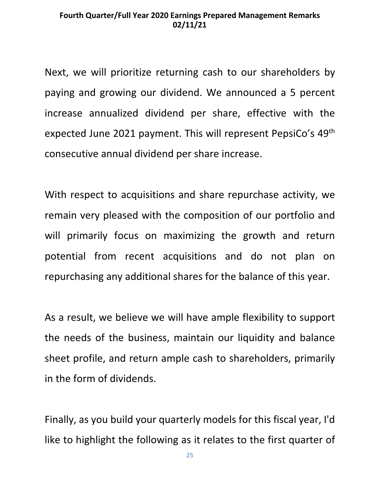Next, we will prioritize returning cash to our shareholders by paying and growing our dividend. We announced a 5 percent increase annualized dividend per share, effective with the expected June 2021 payment. This will represent PepsiCo's 49th consecutive annual dividend per share increase.

With respect to acquisitions and share repurchase activity, we remain very pleased with the composition of our portfolio and will primarily focus on maximizing the growth and return potential from recent acquisitions and do not plan on repurchasing any additional shares for the balance of this year.

As a result, we believe we will have ample flexibility to support the needs of the business, maintain our liquidity and balance sheet profile, and return ample cash to shareholders, primarily in the form of dividends.

Finally, as you build your quarterly models for this fiscal year, I'd like to highlight the following as it relates to the first quarter of